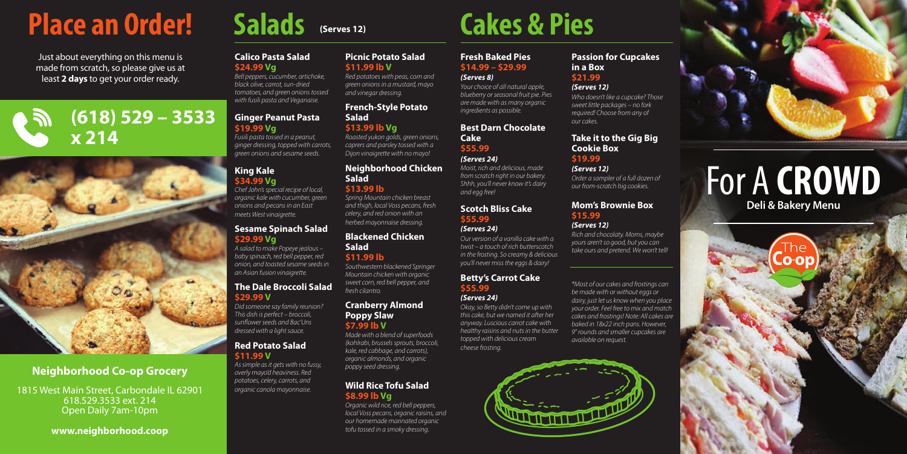### **Neighborhood Co-op Grocery**

1815 West Main Street, Carbondale IL 62901 618.529.3533 ext. 214 Open Daily 7am-10pm

### **www.neighborhood.coop**



Just about everything on this menu is made from scratch, so please give us at least **2 days** to get your order ready.

## **(618) 529 – 3533 x 214**



### **Calico Pasta Salad \$24.99 Vg**

*Bell peppers, cucumber, artichoke, black olive, carrot, sun-dried tomatoes, and green onions tossed with fusili pasta and Veganaise.*

### **Ginger Peanut Pasta \$19.99 Vg**

*Fusili pasta tossed in a peanut, ginger dressing, topped with carrots, green onions and sesame seeds.*

### **King Kale \$34.99 Vg**

*Chef John's special recipe of local, organic kale with cucumber, green onions and pecans in an East meets West vinaigrette.* 

### **Sesame Spinach Salad \$29.99 Vg**

*A salad to make Popeye jealous – baby spinach, red bell pepper, red onion, and toasted sesame seeds in an Asian fusion vinaigrette.*

### **The Dale Broccoli Salad \$29.99 V**

*Did someone say family reunion? This dish is perfect – broccoli, sunflower seeds and Bac'Uns dressed with a light sauce.*

### **Red Potato Salad \$11.99 V**

## **Deli & Bakery Menu** For A **CROWD**



*As simple as it gets with no fussy, overly mayo'd heaviness. Red potatoes, celery, carrots, and organic canola mayonnaise.*

### **Picnic Potato Salad \$11.99 lb V**

*Red potatoes with peas, corn and green onions in a mustard, mayo and vinegar dressing.*

### **French-Style Potato Salad**

**\$13.99 lb Vg** *Roasted yukon golds, green onions, caprers and parsley tossed with a Dijon vinaigrette with no mayo!*

### **Neighborhood Chicken Salad**

### **\$13.99 lb**

*Spring Mountain chicken breast and thigh, local Voss pecans, fresh celery, and red onion with an herbed mayonnaise dressing.* 

### **Blackened Chicken Salad**

### **\$11.99 lb**

*Southwestern blackened Springer Mountain chicken with organic sweet corn, red bell pepper, and fresh cilantro.*

### **Cranberry Almond Poppy Slaw \$7.99 lb V**

*Made with a blend of superfoods (kohlrabi, brussels sprouts, broccoli, kale, red cabbage, and carrots), organic almonds, and organic poppy seed dressing.*

### **Wild Rice Tofu Salad \$8.99 lb Vg**

*Organic wild rice, red bell peppers, local Voss pecans, organic raisins, and our homemade marinated organic tofu tossed in a smoky dressing.*

# **Place an Order! Salads (Serves 12) Cakes & Pies**

### **Fresh Baked Pies \$14.99 – \$29.99**

### *(Serves 8)*

*Your choice of all natural apple, blueberry or seasonal fruit pie. Pies are made with as many organic ingredients as possible.*

### **Best Darn Chocolate Cake \$55.99**

### *(Serves 24)*

*Moist, rich and delicious, made from scratch right in our bakery. Shhh, you'll never know it's dairy and egg free!*

### **Scotch Bliss Cake \$55.99** *(Serves 24)*

*Our version of a vanilla cake with a twist – a touch of rich butterscotch in the frosting. So creamy & delicious you'll never miss the eggs & dairy!*

### **Betty's Carrot Cake \$55.99** *(Serves 24)*

*Okay, so Betty didn't come up with this cake, but we named it after her anyway. Luscious carrot cake with healthy raisins and nuts in the butter topped with delicious cream cheese frosting.*

### **Passion for Cupcakes in a Box \$21.99**

### *(Serves 12)*

*Who doesn't like a cupcake? Those sweet little packages – no fork required! Choose from any of our cakes.*

### **Take it to the Gig Big Cookie Box \$19.99**

### *(Serves 12)*

*Order a sampler of a full dozen of our from-scratch big cookies.*

### **Mom's Brownie Box \$15.99**

### *(Serves 12)*

*Rich and chocolaty. Moms, maybe yours aren't so good, but you can take ours and pretend. We won't tell!*

*\*Most of our cakes and frostings can be made with or without eggs or dairy, just let us know when you place your order. Feel free to mix and match cakes and frostings! Note: All cakes are baked in 18x22 inch pans. However, 9" rounds and smaller cupcakes are available on request.*